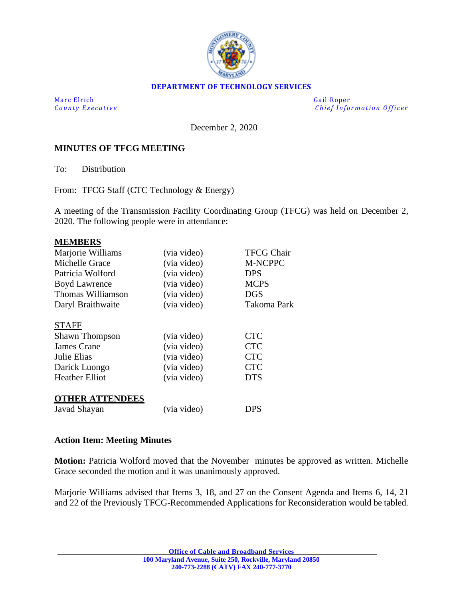

### **DEPARTMENT OF TECHNOLOGY SERVICES**

Marc Elrich Gail Roper

*County Executive* **County Executive County Executive Chief Information Officer** 

December 2, 2020

### **MINUTES OF TFCG MEETING**

To: Distribution

From: TFCG Staff (CTC Technology & Energy)

A meeting of the Transmission Facility Coordinating Group (TFCG) was held on December 2, 2020. The following people were in attendance:

| <b>MEMBERS</b>         |             |                    |
|------------------------|-------------|--------------------|
| Marjorie Williams      | (via video) | <b>TFCG Chair</b>  |
| Michelle Grace         | (via video) | <b>M-NCPPC</b>     |
| Patricia Wolford       | (via video) | <b>DPS</b>         |
| <b>Boyd Lawrence</b>   | (via video) | <b>MCPS</b>        |
| Thomas Williamson      | (via video) | DGS                |
| Daryl Braithwaite      | (via video) | <b>Takoma Park</b> |
|                        |             |                    |
| <b>STAFF</b>           |             |                    |
| <b>Shawn Thompson</b>  | (via video) | <b>CTC</b>         |
| James Crane            | (via video) | <b>CTC</b>         |
| Julie Elias            | (via video) | <b>CTC</b>         |
| Darick Luongo          | (via video) | <b>CTC</b>         |
| <b>Heather Elliot</b>  | (via video) | DTS                |
|                        |             |                    |
| <b>OTHER ATTENDEES</b> |             |                    |
| Javad Shayan           | (via video) | DPS                |

#### **Action Item: Meeting Minutes**

**Motion:** Patricia Wolford moved that the November minutes be approved as written. Michelle Grace seconded the motion and it was unanimously approved.

Marjorie Williams advised that Items 3, 18, and 27 on the Consent Agenda and Items 6, 14, 21 and 22 of the Previously TFCG-Recommended Applications for Reconsideration would be tabled.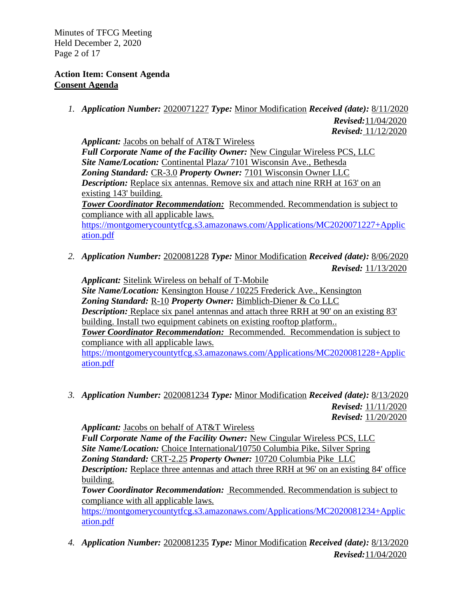Minutes of TFCG Meeting Held December 2, 2020 Page 2 of 17

## **Action Item: Consent Agenda Consent Agenda**

*1. Application Number:* 2020071227 *Type:* Minor Modification *Received (date):* 8/11/2020  *Revised:*11/04/2020

 *Revised:* 11/12/2020

*Applicant:* Jacobs on behalf of AT&T Wireless Full Corporate Name of the Facility Owner: New Cingular Wireless PCS, LLC *Site Name/Location:* Continental Plaza*/* 7101 Wisconsin Ave., Bethesda *Zoning Standard:* CR-3.0 *Property Owner:* 7101 Wisconsin Owner LLC *Description:* Replace six antennas. Remove six and attach nine RRH at 163' on an existing 143' building. *Tower Coordinator Recommendation:* Recommended. Recommendation is subject to compliance with all applicable laws. [https://montgomerycountytfcg.s3.amazonaws.com/Applications/MC2020071227+Applic](https://montgomerycountytfcg.s3.amazonaws.com/Applications/MC2020071227+Application.pdf) [ation.pdf](https://montgomerycountytfcg.s3.amazonaws.com/Applications/MC2020071227+Application.pdf)

*2. Application Number:* 2020081228 *Type:* Minor Modification *Received (date):* 8/06/2020  *Revised:* 11/13/2020

*Applicant:* Sitelink Wireless on behalf of T-Mobile *Site Name/Location:* Kensington House */* 10225 Frederick Ave., Kensington *Zoning Standard:* R-10 *Property Owner:* Bimblich-Diener & Co LLC *Description:* Replace six panel antennas and attach three RRH at 90' on an existing 83' building. Install two equipment cabinets on existing rooftop platform.. *Tower Coordinator Recommendation:* Recommended. Recommendation is subject to compliance with all applicable laws. [https://montgomerycountytfcg.s3.amazonaws.com/Applications/MC2020081228+Applic](https://montgomerycountytfcg.s3.amazonaws.com/Applications/MC2020081228+Application.pdf) [ation.pdf](https://montgomerycountytfcg.s3.amazonaws.com/Applications/MC2020081228+Application.pdf)

*3. Application Number:* 2020081234 *Type:* Minor Modification *Received (date):* 8/13/2020  *Revised:* 11/11/2020  *Revised:* 11/20/2020

*Applicant:* Jacobs on behalf of AT&T Wireless *Full Corporate Name of the Facility Owner:* New Cingular Wireless PCS, LLC *Site Name/Location:* Choice International*/*10750 Columbia Pike, Silver Spring *Zoning Standard:* CRT-2.25 *Property Owner:* 10720 Columbia Pike LLC *Description:* Replace three antennas and attach three RRH at 96' on an existing 84' office building.

*Tower Coordinator Recommendation:* Recommended. Recommendation is subject to compliance with all applicable laws.

[https://montgomerycountytfcg.s3.amazonaws.com/Applications/MC2020081234+Applic](https://montgomerycountytfcg.s3.amazonaws.com/Applications/MC2020081234+Application.pdf) [ation.pdf](https://montgomerycountytfcg.s3.amazonaws.com/Applications/MC2020081234+Application.pdf)

*4. Application Number:* 2020081235 *Type:* Minor Modification *Received (date):* 8/13/2020  *Revised:*11/04/2020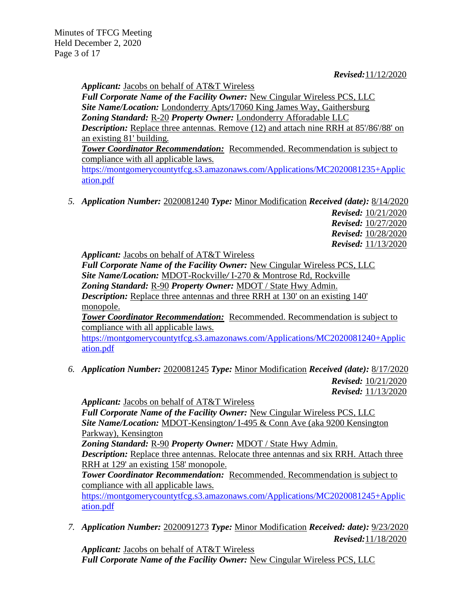*Applicant:* Jacobs on behalf of AT&T Wireless

*Full Corporate Name of the Facility Owner:* New Cingular Wireless PCS, LLC *Site Name/Location:* Londonderry Apts*/*17060 King James Way, Gaithersburg *Zoning Standard:* R-20 *Property Owner:* Londonderry Afforadable LLC **Description:** Replace three antennas. Remove (12) and attach nine RRH at 85'/86'/88' on an existing 81' building.

*Tower Coordinator Recommendation:* Recommended. Recommendation is subject to compliance with all applicable laws.

[https://montgomerycountytfcg.s3.amazonaws.com/Applications/MC2020081235+Applic](https://montgomerycountytfcg.s3.amazonaws.com/Applications/MC2020081235+Application.pdf) [ation.pdf](https://montgomerycountytfcg.s3.amazonaws.com/Applications/MC2020081235+Application.pdf)

*5. Application Number:* 2020081240 *Type:* Minor Modification *Received (date):* 8/14/2020

 *Revised:* 10/21/2020  *Revised:* 10/27/2020  *Revised:* 10/28/2020  *Revised:* 11/13/2020

*Applicant:* Jacobs on behalf of AT&T Wireless

*Full Corporate Name of the Facility Owner:* New Cingular Wireless PCS, LLC *Site Name/Location:* MDOT-Rockville*/* I-270 & Montrose Rd, Rockville *Zoning Standard:* R-90 *Property Owner:* MDOT / State Hwy Admin. *Description:* Replace three antennas and three RRH at 130' on an existing 140' monopole.

*Tower Coordinator Recommendation:* Recommended. Recommendation is subject to compliance with all applicable laws.

[https://montgomerycountytfcg.s3.amazonaws.com/Applications/MC2020081240+Applic](https://montgomerycountytfcg.s3.amazonaws.com/Applications/MC2020081240+Application.pdf) [ation.pdf](https://montgomerycountytfcg.s3.amazonaws.com/Applications/MC2020081240+Application.pdf)

*6. Application Number:* 2020081245 *Type:* Minor Modification *Received (date):* 8/17/2020  *Revised:* 10/21/2020  *Revised:* 11/13/2020

*Applicant:* Jacobs on behalf of AT&T Wireless *Full Corporate Name of the Facility Owner:* New Cingular Wireless PCS, LLC *Site Name/Location:* MDOT-Kensington*/* I-495 & Conn Ave (aka 9200 Kensington Parkway), Kensington *Zoning Standard:* R-90 *Property Owner:* MDOT / State Hwy Admin.

*Description:* Replace three antennas. Relocate three antennas and six RRH. Attach three RRH at 129' an existing 158' monopole.

*Tower Coordinator Recommendation:* Recommended. Recommendation is subject to compliance with all applicable laws.

[https://montgomerycountytfcg.s3.amazonaws.com/Applications/MC2020081245+Applic](https://montgomerycountytfcg.s3.amazonaws.com/Applications/MC2020081245+Application.pdf) [ation.pdf](https://montgomerycountytfcg.s3.amazonaws.com/Applications/MC2020081245+Application.pdf)

*7. Application Number:* 2020091273 *Type:* Minor Modification *Received: date):* 9/23/2020 *Revised:*11/18/2020

*Applicant:* Jacobs on behalf of AT&T Wireless *Full Corporate Name of the Facility Owner:* New Cingular Wireless PCS, LLC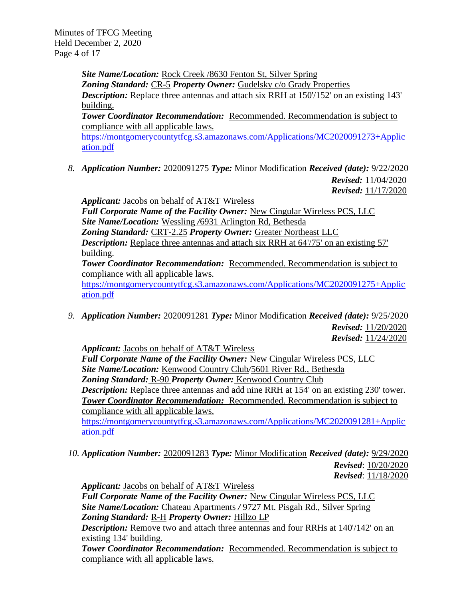Minutes of TFCG Meeting Held December 2, 2020 Page 4 of 17

> *Site Name/Location:* Rock Creek /8630 Fenton St, Silver Spring *Zoning Standard:* CR-5 *Property Owner:* Gudelsky c/o Grady Properties **Description:** Replace three antennas and attach six RRH at 150 $/152$  on an existing 143' building. **Tower Coordinator Recommendation:** Recommended. Recommendation is subject to

compliance with all applicable laws.

[https://montgomerycountytfcg.s3.amazonaws.com/Applications/MC2020091273+Applic](https://montgomerycountytfcg.s3.amazonaws.com/Applications/MC2020091273+Application.pdf) [ation.pdf](https://montgomerycountytfcg.s3.amazonaws.com/Applications/MC2020091273+Application.pdf)

*8. Application Number:* 2020091275 *Type:* Minor Modification *Received (date):* 9/22/2020  *Revised:* 11/04/2020  *Revised:* 11/17/2020

*Applicant:* Jacobs on behalf of AT&T Wireless *Full Corporate Name of the Facility Owner:* New Cingular Wireless PCS, LLC *Site Name/Location:* Wessling */*6931 Arlington Rd, Bethesda *Zoning Standard:* CRT-2.25 *Property Owner:* Greater Northeast LLC *Description:* Replace three antennas and attach six RRH at 64'/75' on an existing 57' building.

*Tower Coordinator Recommendation:* Recommended. Recommendation is subject to compliance with all applicable laws.

[https://montgomerycountytfcg.s3.amazonaws.com/Applications/MC2020091275+Applic](https://montgomerycountytfcg.s3.amazonaws.com/Applications/MC2020091275+Application.pdf) [ation.pdf](https://montgomerycountytfcg.s3.amazonaws.com/Applications/MC2020091275+Application.pdf)

*9. Application Number:* 2020091281 *Type:* Minor Modification *Received (date):* 9/25/2020  *Revised:* 11/20/2020  *Revised:* 11/24/2020

*Applicant:* Jacobs on behalf of AT&T Wireless

*Full Corporate Name of the Facility Owner:* New Cingular Wireless PCS, LLC *Site Name/Location:* Kenwood Country Club*/*5601 River Rd., Bethesda *Zoning Standard:* R-90 *Property Owner:* Kenwood Country Club **Description:** Replace three antennas and add nine RRH at 154' on an existing 230' tower. *Tower Coordinator Recommendation:* Recommended. Recommendation is subject to compliance with all applicable laws.

[https://montgomerycountytfcg.s3.amazonaws.com/Applications/MC2020091281+Applic](https://montgomerycountytfcg.s3.amazonaws.com/Applications/MC2020091281+Application.pdf) [ation.pdf](https://montgomerycountytfcg.s3.amazonaws.com/Applications/MC2020091281+Application.pdf)

*10. Application Number:* 2020091283 *Type:* Minor Modification *Received (date):* 9/29/2020  *Revised*: 10/20/2020  *Revised*: 11/18/2020

*Applicant:* Jacobs on behalf of AT&T Wireless *Full Corporate Name of the Facility Owner:* New Cingular Wireless PCS, LLC *Site Name/Location:* Chateau Apartments */* 9727 Mt. Pisgah Rd., Silver Spring *Zoning Standard:* R-H *Property Owner:* Hillzo LP *Description:* Remove two and attach three antennas and four RRHs at 140/142' on an existing 134' building.

*Tower Coordinator Recommendation:* Recommended. Recommendation is subject to compliance with all applicable laws.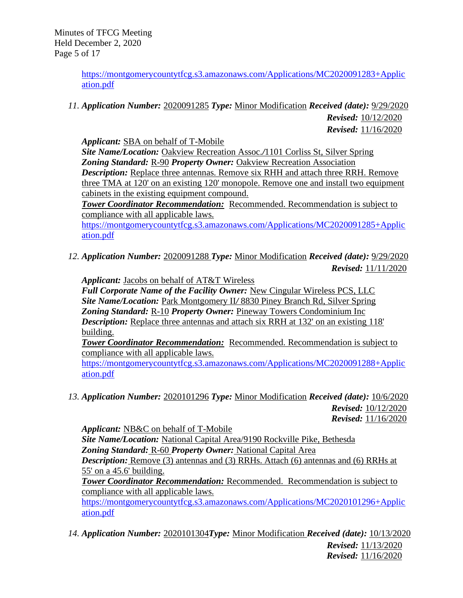Minutes of TFCG Meeting Held December 2, 2020 Page 5 of 17

> [https://montgomerycountytfcg.s3.amazonaws.com/Applications/MC2020091283+Applic](https://montgomerycountytfcg.s3.amazonaws.com/Applications/MC2020091283+Application.pdf) [ation.pdf](https://montgomerycountytfcg.s3.amazonaws.com/Applications/MC2020091283+Application.pdf)

*11. Application Number:* 2020091285 *Type:* Minor Modification *Received (date):* 9/29/2020

*Revised:* 10/12/2020 *Revised:* 11/16/2020

*Applicant:* SBA on behalf of T-Mobile

*Site Name/Location:* Oakview Recreation Assoc.*/*1101 Corliss St, Silver Spring *Zoning Standard:* R-90 *Property Owner:* Oakview Recreation Association *Description:* Replace three antennas. Remove six RHH and attach three RRH. Remove three TMA at 120' on an existing 120' monopole. Remove one and install two equipment cabinets in the existing equipment compound.

*Tower Coordinator Recommendation:* Recommended. Recommendation is subject to compliance with all applicable laws.

[https://montgomerycountytfcg.s3.amazonaws.com/Applications/MC2020091285+Applic](https://montgomerycountytfcg.s3.amazonaws.com/Applications/MC2020091285+Application.pdf) [ation.pdf](https://montgomerycountytfcg.s3.amazonaws.com/Applications/MC2020091285+Application.pdf)

*12. Application Number:* 2020091288 *Type:* Minor Modification *Received (date):* 9/29/2020  *Revised:* 11/11/2020

*Applicant:* Jacobs on behalf of AT&T Wireless

*Full Corporate Name of the Facility Owner:* New Cingular Wireless PCS, LLC *Site Name/Location:* Park Montgomery II*/* 8830 Piney Branch Rd, Silver Spring *Zoning Standard:* R-10 *Property Owner:* Pineway Towers Condominium Inc *Description:* Replace three antennas and attach six RRH at 132' on an existing 118' building.

*Tower Coordinator Recommendation:* Recommended. Recommendation is subject to compliance with all applicable laws.

[https://montgomerycountytfcg.s3.amazonaws.com/Applications/MC2020091288+Applic](https://montgomerycountytfcg.s3.amazonaws.com/Applications/MC2020091288+Application.pdf) [ation.pdf](https://montgomerycountytfcg.s3.amazonaws.com/Applications/MC2020091288+Application.pdf)

*13. Application Number:* 2020101296 *Type:* Minor Modification *Received (date):* 10/6/2020  *Revised:* 10/12/2020  *Revised:* 11/16/2020

*Applicant:* NB&C on behalf of T-Mobile *Site Name/Location:* National Capital Area/9190 Rockville Pike, Bethesda *Zoning Standard:* R-60 *Property Owner:* National Capital Area **Description:** Remove (3) antennas and (3) RRHs. Attach (6) antennas and (6) RRHs at 55' on a 45.6' building. *Tower Coordinator Recommendation:* Recommended. Recommendation is subject to compliance with all applicable laws.

[https://montgomerycountytfcg.s3.amazonaws.com/Applications/MC2020101296+Applic](https://montgomerycountytfcg.s3.amazonaws.com/Applications/MC2020101296+Application.pdf) [ation.pdf](https://montgomerycountytfcg.s3.amazonaws.com/Applications/MC2020101296+Application.pdf)

*14. Application Number:* 2020101304*Type:* Minor Modification *Received (date):* 10/13/2020  *Revised:* 11/13/2020 *Revised:* 11/16/2020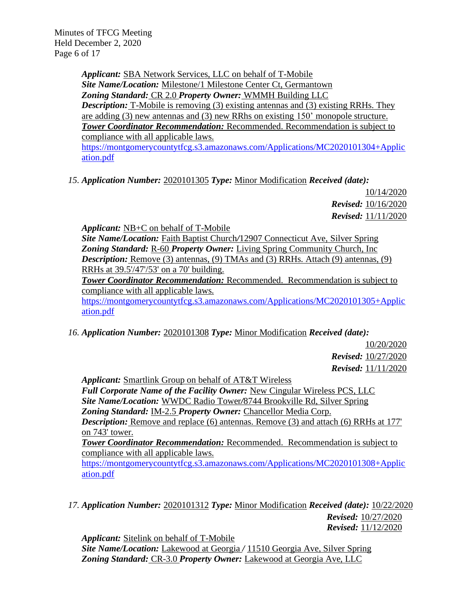Minutes of TFCG Meeting Held December 2, 2020 Page 6 of 17

> *Applicant:* SBA Network Services, LLC on behalf of T-Mobile *Site Name/Location:* Milestone/1 Milestone Center Ct, Germantown *Zoning Standard:* CR 2.0 *Property Owner:* WMMH Building LLC *Description:* T-Mobile is removing (3) existing antennas and (3) existing RRHs. They are adding (3) new antennas and (3) new RRhs on existing 150' monopole structure. *Tower Coordinator Recommendation:* Recommended. Recommendation is subject to compliance with all applicable laws. [https://montgomerycountytfcg.s3.amazonaws.com/Applications/MC2020101304+Applic](https://montgomerycountytfcg.s3.amazonaws.com/Applications/MC2020101304+Application.pdf) [ation.pdf](https://montgomerycountytfcg.s3.amazonaws.com/Applications/MC2020101304+Application.pdf)

*15. Application Number:* 2020101305 *Type:* Minor Modification *Received (date):*

10/14/2020 *Revised:* 10/16/2020  *Revised:* 11/11/2020

*Applicant:* NB+C on behalf of T-Mobile *Site Name/Location:* Faith Baptist Church*/*12907 Connecticut Ave, Silver Spring *Zoning Standard:* R-60 *Property Owner:* Living Spring Community Church, Inc *Description:* Remove (3) antennas, (9) TMAs and (3) RRHs. Attach (9) antennas, (9) RRHs at 39.5'/47'/53' on a 70' building. *Tower Coordinator Recommendation:* Recommended. Recommendation is subject to compliance with all applicable laws. [https://montgomerycountytfcg.s3.amazonaws.com/Applications/MC2020101305+Applic](https://montgomerycountytfcg.s3.amazonaws.com/Applications/MC2020101305+Application.pdf) [ation.pdf](https://montgomerycountytfcg.s3.amazonaws.com/Applications/MC2020101305+Application.pdf)

*16. Application Number:* 2020101308 *Type:* Minor Modification *Received (date):*

10/20/2020 *Revised:* 10/27/2020  *Revised:* 11/11/2020

*Applicant:* Smartlink Group on behalf of AT&T Wireless *Full Corporate Name of the Facility Owner:* New Cingular Wireless PCS, LLC *Site Name/Location:* WWDC Radio Tower*/*8744 Brookville Rd, Silver Spring *Zoning Standard:* IM-2.5 *Property Owner:* Chancellor Media Corp. *Description:* Remove and replace (6) antennas. Remove (3) and attach (6) RRHs at 177' on 743' tower. *Tower Coordinator Recommendation:* Recommended. Recommendation is subject to

compliance with all applicable laws. [https://montgomerycountytfcg.s3.amazonaws.com/Applications/MC2020101308+Applic](https://montgomerycountytfcg.s3.amazonaws.com/Applications/MC2020101308+Application.pdf) [ation.pdf](https://montgomerycountytfcg.s3.amazonaws.com/Applications/MC2020101308+Application.pdf)

*17. Application Number:* 2020101312 *Type:* Minor Modification *Received (date):* 10/22/2020 *Revised:* 10/27/2020  *Revised:* 11/12/2020

*Applicant:* Sitelink on behalf of T-Mobile *Site Name/Location:* Lakewood at Georgia */* 11510 Georgia Ave, Silver Spring *Zoning Standard:* CR-3.0 *Property Owner:* Lakewood at Georgia Ave, LLC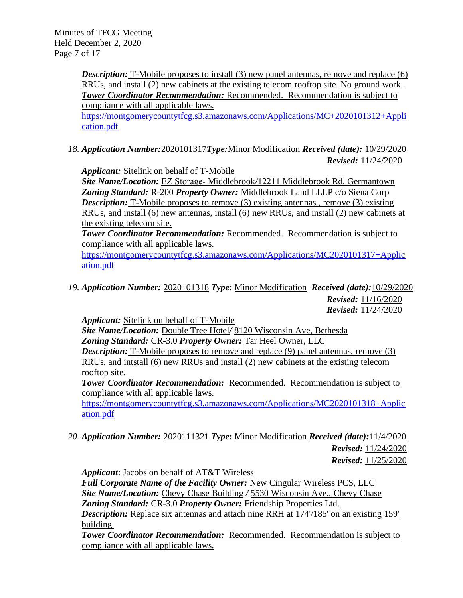Minutes of TFCG Meeting Held December 2, 2020 Page 7 of 17

> **Description:** T-Mobile proposes to install (3) new panel antennas, remove and replace (6) RRUs, and install (2) new cabinets at the existing telecom rooftop site. No ground work. *Tower Coordinator Recommendation:* Recommended. Recommendation is subject to compliance with all applicable laws.

> [https://montgomerycountytfcg.s3.amazonaws.com/Applications/MC+2020101312+Appli](https://montgomerycountytfcg.s3.amazonaws.com/Applications/MC+2020101312+Application.pdf) [cation.pdf](https://montgomerycountytfcg.s3.amazonaws.com/Applications/MC+2020101312+Application.pdf)

*18. Application Number:*2020101317*Type:*Minor Modification *Received (date):* 10/29/2020 *Revised:* 11/24/2020

*Applicant:* Sitelink on behalf of T-Mobile

*Site Name/Location:* EZ Storage‐ Middlebrook*/*12211 Middlebrook Rd, Germantown *Zoning Standard:* R-200 *Property Owner:* Middlebrook Land LLLP c/o Siena Corp *Description:* T-Mobile proposes to remove (3) existing antennas, remove (3) existing RRUs, and install (6) new antennas, install (6) new RRUs, and install (2) new cabinets at the existing telecom site.

*Tower Coordinator Recommendation:* Recommended. Recommendation is subject to compliance with all applicable laws.

[https://montgomerycountytfcg.s3.amazonaws.com/Applications/MC2020101317+Applic](https://montgomerycountytfcg.s3.amazonaws.com/Applications/MC2020101317+Application.pdf) [ation.pdf](https://montgomerycountytfcg.s3.amazonaws.com/Applications/MC2020101317+Application.pdf)

*19. Application Number:* 2020101318 *Type:* Minor Modification *Received (date):*10/29/2020 *Revised:* 11/16/2020 *Revised:* 11/24/2020

*Applicant:* Sitelink on behalf of T-Mobile

*Site Name/Location:* Double Tree Hotel*/* 8120 Wisconsin Ave, Bethesda *Zoning Standard:* CR-3.0 *Property Owner:* Tar Heel Owner, LLC *Description:* T-Mobile proposes to remove and replace (9) panel antennas, remove (3) RRUs, and intstall (6) new RRUs and install (2) new cabinets at the existing telecom rooftop site.

*Tower Coordinator Recommendation:* Recommended. Recommendation is subject to compliance with all applicable laws.

[https://montgomerycountytfcg.s3.amazonaws.com/Applications/MC2020101318+Applic](https://montgomerycountytfcg.s3.amazonaws.com/Applications/MC2020101318+Application.pdf) [ation.pdf](https://montgomerycountytfcg.s3.amazonaws.com/Applications/MC2020101318+Application.pdf)

*20. Application Number:* 2020111321 *Type:* Minor Modification *Received (date):*11/4/2020  *Revised:* 11/24/2020  *Revised:* 11/25/2020

*Applicant*: Jacobs on behalf of AT&T Wireless

*Full Corporate Name of the Facility Owner:* New Cingular Wireless PCS, LLC *Site Name/Location:* Chevy Chase Building */* 5530 Wisconsin Ave., Chevy Chase *Zoning Standard:* CR-3.0 *Property Owner:* Friendship Properties Ltd.

**Description:** Replace six antennas and attach nine RRH at 174'/185' on an existing 159' building.

*Tower Coordinator Recommendation:* Recommended. Recommendation is subject to compliance with all applicable laws.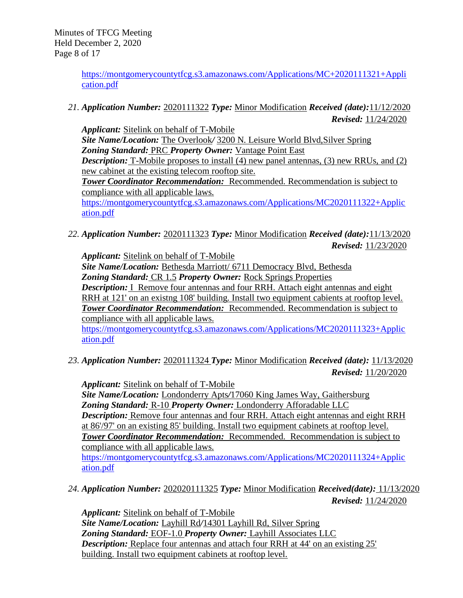[https://montgomerycountytfcg.s3.amazonaws.com/Applications/MC+2020111321+Appli](https://montgomerycountytfcg.s3.amazonaws.com/Applications/MC+2020111321+Application.pdf) [cation.pdf](https://montgomerycountytfcg.s3.amazonaws.com/Applications/MC+2020111321+Application.pdf)

*21. Application Number:* 2020111322 *Type:* Minor Modification *Received (date):*11/12/2020  *Revised:* 11/24/2020

*Applicant:* Sitelink on behalf of T-Mobile *Site Name/Location:* The Overlook*/* 3200 N. Leisure World Blvd,Silver Spring *Zoning Standard:* PRC *Property Owner:* Vantage Point East *Description:* T-Mobile proposes to install (4) new panel antennas, (3) new RRUs, and (2) new cabinet at the existing telecom rooftop site. **Tower Coordinator Recommendation:** Recommended. Recommendation is subject to compliance with all applicable laws. [https://montgomerycountytfcg.s3.amazonaws.com/Applications/MC2020111322+Applic](https://montgomerycountytfcg.s3.amazonaws.com/Applications/MC2020111322+Application.pdf) [ation.pdf](https://montgomerycountytfcg.s3.amazonaws.com/Applications/MC2020111322+Application.pdf)

*22. Application Number:* 2020111323 *Type:* Minor Modification *Received (date):*11/13/2020  *Revised:* 11/23/2020

*Applicant:* Sitelink on behalf of T-Mobile

*Site Name/Location:* Bethesda Marriott/ 6711 Democracy Blvd, Bethesda *Zoning Standard:* CR 1.5 *Property Owner:* Rock Springs Properties

*Description:* I Remove four antennas and four RRH. Attach eight antennas and eight RRH at 121' on an existng 108' building. Install two equipment cabients at rooftop level. *Tower Coordinator Recommendation:* Recommended. Recommendation is subject to compliance with all applicable laws.

[https://montgomerycountytfcg.s3.amazonaws.com/Applications/MC2020111323+Applic](https://montgomerycountytfcg.s3.amazonaws.com/Applications/MC2020111323+Application.pdf) [ation.pdf](https://montgomerycountytfcg.s3.amazonaws.com/Applications/MC2020111323+Application.pdf)

*23. Application Number:* 2020111324 *Type:* Minor Modification *Received (date):* 11/13/2020  *Revised:* 11/20/2020

*Applicant:* Sitelink on behalf of T-Mobile *Site Name/Location:* Londonderry Apts*/*17060 King James Way, Gaithersburg *Zoning Standard:* R-10 *Property Owner:* Londonderry Afforadable LLC *Description:* Remove four antennas and four RRH. Attach eight antennas and eight RRH at 86'/97' on an existing 85' building. Install two equipment cabinets at rooftop level. *Tower Coordinator Recommendation:* Recommended. Recommendation is subject to compliance with all applicable laws. [https://montgomerycountytfcg.s3.amazonaws.com/Applications/MC2020111324+Applic](https://montgomerycountytfcg.s3.amazonaws.com/Applications/MC2020111324+Application.pdf) [ation.pdf](https://montgomerycountytfcg.s3.amazonaws.com/Applications/MC2020111324+Application.pdf)

*24. Application Number:* 202020111325 *Type:* Minor Modification *Received(date):* 11/13/2020  *Revised:* 11/24/2020

*Applicant:* Sitelink on behalf of T-Mobile *Site Name/Location:* Layhill Rd*/*14301 Layhill Rd, Silver Spring *Zoning Standard:* EOF-1.0 *Property Owner:* Layhill Associates LLC *Description:* Replace four antennas and attach four RRH at 44' on an existing 25' building. Install two equipment cabinets at rooftop level.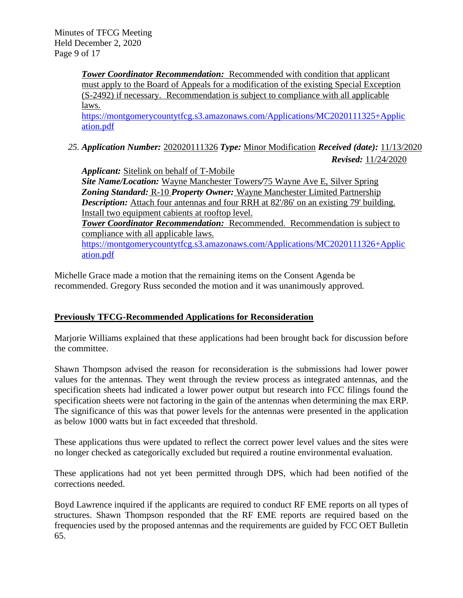Minutes of TFCG Meeting Held December 2, 2020 Page 9 of 17

> *Tower Coordinator Recommendation:* Recommended with condition that applicant must apply to the Board of Appeals for a modification of the existing Special Exception (S-2492) if necessary. Recommendation is subject to compliance with all applicable laws.

[https://montgomerycountytfcg.s3.amazonaws.com/Applications/MC2020111325+Applic](https://montgomerycountytfcg.s3.amazonaws.com/Applications/MC2020111325+Application.pdf) [ation.pdf](https://montgomerycountytfcg.s3.amazonaws.com/Applications/MC2020111325+Application.pdf)

*25. Application Number:* 202020111326 *Type:* Minor Modification *Received (date):* 11/13/2020

 *Revised:* 11/24/2020

*Applicant:* Sitelink on behalf of T-Mobile *Site Name/Location:* Wayne Manchester Towers*/*75 Wayne Ave E, Silver Spring *Zoning Standard:* R-10 *Property Owner:* Wayne Manchester Limited Partnership *Description:* Attach four antennas and four RRH at 82'/86' on an existing 79' building. Install two equipment cabients at rooftop level. *Tower Coordinator Recommendation:* Recommended. Recommendation is subject to compliance with all applicable laws. [https://montgomerycountytfcg.s3.amazonaws.com/Applications/MC2020111326+Applic](https://montgomerycountytfcg.s3.amazonaws.com/Applications/MC2020111326+Application.pdf) [ation.pdf](https://montgomerycountytfcg.s3.amazonaws.com/Applications/MC2020111326+Application.pdf)

Michelle Grace made a motion that the remaining items on the Consent Agenda be recommended. Gregory Russ seconded the motion and it was unanimously approved.

## **Previously TFCG-Recommended Applications for Reconsideration**

Marjorie Williams explained that these applications had been brought back for discussion before the committee.

Shawn Thompson advised the reason for reconsideration is the submissions had lower power values for the antennas. They went through the review process as integrated antennas, and the specification sheets had indicated a lower power output but research into FCC filings found the specification sheets were not factoring in the gain of the antennas when determining the max ERP. The significance of this was that power levels for the antennas were presented in the application as below 1000 watts but in fact exceeded that threshold.

These applications thus were updated to reflect the correct power level values and the sites were no longer checked as categorically excluded but required a routine environmental evaluation.

These applications had not yet been permitted through DPS, which had been notified of the corrections needed.

Boyd Lawrence inquired if the applicants are required to conduct RF EME reports on all types of structures. Shawn Thompson responded that the RF EME reports are required based on the frequencies used by the proposed antennas and the requirements are guided by FCC OET Bulletin 65.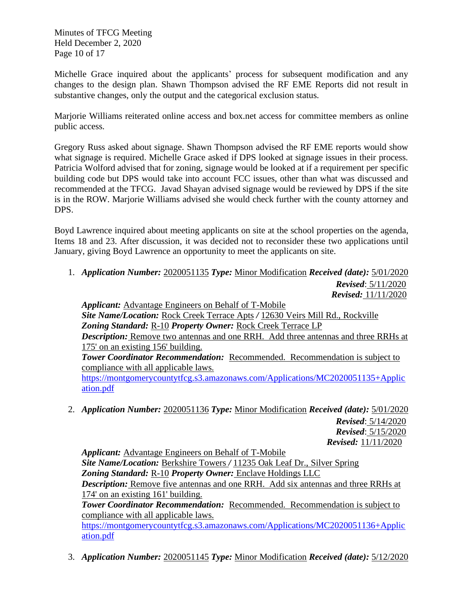Minutes of TFCG Meeting Held December 2, 2020 Page 10 of 17

Michelle Grace inquired about the applicants' process for subsequent modification and any changes to the design plan. Shawn Thompson advised the RF EME Reports did not result in substantive changes, only the output and the categorical exclusion status.

Marjorie Williams reiterated online access and box.net access for committee members as online public access.

Gregory Russ asked about signage. Shawn Thompson advised the RF EME reports would show what signage is required. Michelle Grace asked if DPS looked at signage issues in their process. Patricia Wolford advised that for zoning, signage would be looked at if a requirement per specific building code but DPS would take into account FCC issues, other than what was discussed and recommended at the TFCG. Javad Shayan advised signage would be reviewed by DPS if the site is in the ROW. Marjorie Williams advised she would check further with the county attorney and DPS.

Boyd Lawrence inquired about meeting applicants on site at the school properties on the agenda, Items 18 and 23. After discussion, it was decided not to reconsider these two applications until January, giving Boyd Lawrence an opportunity to meet the applicants on site.

1. *Application Number:* 2020051135 *Type:* Minor Modification *Received (date):* 5/01/2020 *Revised*: 5/11/2020  *Revised:* 11/11/2020

*Applicant:* Advantage Engineers on Behalf of T-Mobile *Site Name/Location:* Rock Creek Terrace Apts */* 12630 Veirs Mill Rd., Rockville *Zoning Standard:* R-10 *Property Owner:* Rock Creek Terrace LP *Description:* Remove two antennas and one RRH. Add three antennas and three RRHs at 175' on an existing 156' building. *Tower Coordinator Recommendation:* Recommended. Recommendation is subject to compliance with all applicable laws.

[https://montgomerycountytfcg.s3.amazonaws.com/Applications/MC2020051135+Applic](https://montgomerycountytfcg.s3.amazonaws.com/Applications/MC2020051135+Application.pdf) [ation.pdf](https://montgomerycountytfcg.s3.amazonaws.com/Applications/MC2020051135+Application.pdf)

2. *Application Number:* 2020051136 *Type:* Minor Modification *Received (date):* 5/01/2020 *Revised*: 5/14/2020 *Revised*: 5/15/2020  *Revised:* 11/11/2020

*Applicant:* Advantage Engineers on Behalf of T-Mobile *Site Name/Location:* Berkshire Towers */* 11235 Oak Leaf Dr., Silver Spring *Zoning Standard:* R-10 *Property Owner:* Enclave Holdings LLC *Description:* Remove five antennas and one RRH. Add six antennas and three RRHs at 174' on an existing 161' building. *Tower Coordinator Recommendation:* Recommended. Recommendation is subject to

compliance with all applicable laws. [https://montgomerycountytfcg.s3.amazonaws.com/Applications/MC2020051136+Applic](https://montgomerycountytfcg.s3.amazonaws.com/Applications/MC2020051136+Application.pdf) [ation.pdf](https://montgomerycountytfcg.s3.amazonaws.com/Applications/MC2020051136+Application.pdf)

3. *Application Number:* 2020051145 *Type:* Minor Modification *Received (date):* 5/12/2020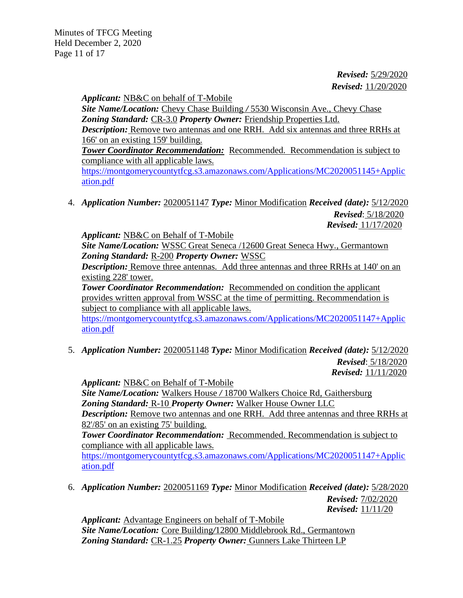Minutes of TFCG Meeting Held December 2, 2020 Page 11 of 17

> *Revised:* 5/29/2020  *Revised:* 11/20/2020

*Applicant:* NB&C on behalf of T-Mobile

*Site Name/Location:* Chevy Chase Building */* 5530 Wisconsin Ave., Chevy Chase Zoning Standard: CR-3.0 Property Owner: Friendship Properties Ltd. *Description:* Remove two antennas and one RRH. Add six antennas and three RRHs at

166' on an existing 159' building.

*Tower Coordinator Recommendation:* Recommended. Recommendation is subject to compliance with all applicable laws.

[https://montgomerycountytfcg.s3.amazonaws.com/Applications/MC2020051145+Applic](https://montgomerycountytfcg.s3.amazonaws.com/Applications/MC2020051145+Application.pdf) [ation.pdf](https://montgomerycountytfcg.s3.amazonaws.com/Applications/MC2020051145+Application.pdf)

4. *Application Number:* 2020051147 *Type:* Minor Modification *Received (date):* 5/12/2020 *Revised*: 5/18/2020  *Revised:* 11/17/2020

*Applicant:* NB&C on Behalf of T-Mobile

*Site Name/Location:* WSSC Great Seneca /12600 Great Seneca Hwy., Germantown *Zoning Standard:* R-200 *Property Owner:* WSSC

*Description:* Remove three antennas. Add three antennas and three RRHs at 140' on an existing 228' tower.

**Tower Coordinator Recommendation:** Recommended on condition the applicant provides written approval from WSSC at the time of permitting. Recommendation is subject to compliance with all applicable laws.

[https://montgomerycountytfcg.s3.amazonaws.com/Applications/MC2020051147+Applic](https://montgomerycountytfcg.s3.amazonaws.com/Applications/MC2020051147+Application.pdf) [ation.pdf](https://montgomerycountytfcg.s3.amazonaws.com/Applications/MC2020051147+Application.pdf)

5. *Application Number:* 2020051148 *Type:* Minor Modification *Received (date):* 5/12/2020 *Revised*: 5/18/2020  *Revised:* 11/11/2020

*Applicant:* NB&C on Behalf of T-Mobile *Site Name/Location:* Walkers House */* 18700 Walkers Choice Rd, Gaithersburg *Zoning Standard:* R-10 *Property Owner:* Walker House Owner LLC *Description:* Remove two antennas and one RRH. Add three antennas and three RRHs at 82'/85' on an existing 75' building. *Tower Coordinator Recommendation:* Recommended. Recommendation is subject to compliance with all applicable laws. [https://montgomerycountytfcg.s3.amazonaws.com/Applications/MC2020051147+Applic](https://montgomerycountytfcg.s3.amazonaws.com/Applications/MC2020051147+Application.pdf) [ation.pdf](https://montgomerycountytfcg.s3.amazonaws.com/Applications/MC2020051147+Application.pdf)

6. *Application Number:* 2020051169 *Type:* Minor Modification *Received (date):* 5/28/2020  *Revised:* 7/02/2020

*Revised:* 11/11/20

*Applicant:* Advantage Engineers on behalf of T-Mobile *Site Name/Location:* Core Building*/*12800 Middlebrook Rd., Germantown *Zoning Standard:* CR-1.25 *Property Owner:* Gunners Lake Thirteen LP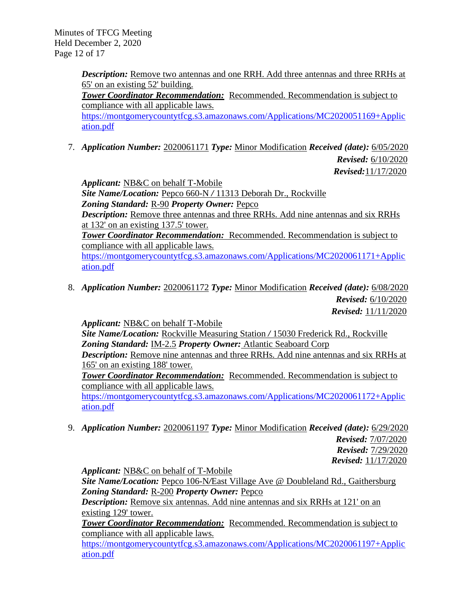Minutes of TFCG Meeting Held December 2, 2020 Page 12 of 17

> *Description:* Remove two antennas and one RRH. Add three antennas and three RRHs at 65' on an existing 52' building. **Tower Coordinator Recommendation:** Recommended. Recommendation is subject to

> compliance with all applicable laws. [https://montgomerycountytfcg.s3.amazonaws.com/Applications/MC2020051169+Applic](https://montgomerycountytfcg.s3.amazonaws.com/Applications/MC2020051169+Application.pdf) [ation.pdf](https://montgomerycountytfcg.s3.amazonaws.com/Applications/MC2020051169+Application.pdf)

7. *Application Number:* 2020061171 *Type:* Minor Modification *Received (date):* 6/05/2020

*Revised:* 6/10/2020

 *Revised:*11/17/2020

*Applicant:* NB&C on behalf T-Mobile *Site Name/Location:* Pepco 660-N */* 11313 Deborah Dr., Rockville *Zoning Standard:* R-90 *Property Owner:* Pepco *Description:* Remove three antennas and three RRHs. Add nine antennas and six RRHs at 132' on an existing 137.5' tower. *Tower Coordinator Recommendation:* Recommended. Recommendation is subject to compliance with all applicable laws. [https://montgomerycountytfcg.s3.amazonaws.com/Applications/MC2020061171+Applic](https://montgomerycountytfcg.s3.amazonaws.com/Applications/MC2020061171+Application.pdf) [ation.pdf](https://montgomerycountytfcg.s3.amazonaws.com/Applications/MC2020061171+Application.pdf)

8. *Application Number:* 2020061172 *Type:* Minor Modification *Received (date):* 6/08/2020 *Revised:* 6/10/2020  *Revised:* 11/11/2020

*Applicant:* NB&C on behalf T-Mobile

*Site Name/Location:* Rockville Measuring Station */* 15030 Frederick Rd., Rockville *Zoning Standard:* IM-2.5 *Property Owner:* Atlantic Seaboard Corp *Description:* Remove nine antennas and three RRHs. Add nine antennas and six RRHs at

165' on an existing 188' tower.

*Tower Coordinator Recommendation:* Recommended. Recommendation is subject to compliance with all applicable laws.

[https://montgomerycountytfcg.s3.amazonaws.com/Applications/MC2020061172+Applic](https://montgomerycountytfcg.s3.amazonaws.com/Applications/MC2020061172+Application.pdf) [ation.pdf](https://montgomerycountytfcg.s3.amazonaws.com/Applications/MC2020061172+Application.pdf)

9. *Application Number:* 2020061197 *Type:* Minor Modification *Received (date):* 6/29/2020  *Revised:* 7/07/2020 *Revised:* 7/29/2020  *Revised:* 11/17/2020

*Applicant:* NB&C on behalf of T-Mobile *Site Name/Location:* Pepco 106-N*/*East Village Ave @ Doubleland Rd., Gaithersburg *Zoning Standard:* R-200 *Property Owner:* Pepco *Description:* Remove six antennas. Add nine antennas and six RRHs at 121' on an existing 129' tower. **Tower Coordinator Recommendation:** Recommended. Recommendation is subject to compliance with all applicable laws.

[https://montgomerycountytfcg.s3.amazonaws.com/Applications/MC2020061197+Applic](https://montgomerycountytfcg.s3.amazonaws.com/Applications/MC2020061197+Application.pdf) [ation.pdf](https://montgomerycountytfcg.s3.amazonaws.com/Applications/MC2020061197+Application.pdf)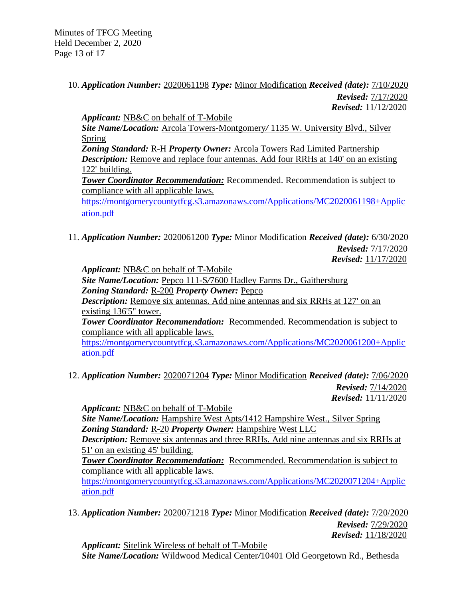Minutes of TFCG Meeting Held December 2, 2020 Page 13 of 17

# 10. *Application Number:* 2020061198 *Type:* Minor Modification *Received (date):* 7/10/2020 *Revised:* 7/17/2020  *Revised:* 11/12/2020

*Applicant:* NB&C on behalf of T-Mobile *Site Name/Location:* Arcola Towers-Montgomery*/* 1135 W. University Blvd., Silver Spring *Zoning Standard:* R-H *Property Owner:* Arcola Towers Rad Limited Partnership *Description:* Remove and replace four antennas. Add four RRHs at 140' on an existing 122' building. *Tower Coordinator Recommendation:* Recommended. Recommendation is subject to compliance with all applicable laws. [https://montgomerycountytfcg.s3.amazonaws.com/Applications/MC2020061198+Applic](https://montgomerycountytfcg.s3.amazonaws.com/Applications/MC2020061198+Application.pdf) [ation.pdf](https://montgomerycountytfcg.s3.amazonaws.com/Applications/MC2020061198+Application.pdf)

11. *Application Number:* 2020061200 *Type:* Minor Modification *Received (date):* 6/30/2020 *Revised:* 7/17/2020  *Revised:* 11/17/2020

*Applicant:* NB&C on behalf of T-Mobile *Site Name/Location:* Pepco 111-S*/*7600 Hadley Farms Dr., Gaithersburg *Zoning Standard:* R-200 *Property Owner:* Pepco *Description:* Remove six antennas. Add nine antennas and six RRHs at 127' on an existing 136'5" tower. *Tower Coordinator Recommendation:* Recommended. Recommendation is subject to compliance with all applicable laws. [https://montgomerycountytfcg.s3.amazonaws.com/Applications/MC2020061200+Applic](https://montgomerycountytfcg.s3.amazonaws.com/Applications/MC2020061200+Application.pdf) [ation.pdf](https://montgomerycountytfcg.s3.amazonaws.com/Applications/MC2020061200+Application.pdf)

12. *Application Number:* 2020071204 *Type:* Minor Modification *Received (date):* 7/06/2020 *Revised:* 7/14/2020  *Revised:* 11/11/2020

*Applicant:* NB&C on behalf of T-Mobile *Site Name/Location:* Hampshire West Apts*/*1412 Hampshire West., Silver Spring *Zoning Standard:* R-20 *Property Owner:* Hampshire West LLC *Description:* Remove six antennas and three RRHs. Add nine antennas and six RRHs at 51' on an existing 45' building. *Tower Coordinator Recommendation:* Recommended. Recommendation is subject to compliance with all applicable laws.

[https://montgomerycountytfcg.s3.amazonaws.com/Applications/MC2020071204+Applic](https://montgomerycountytfcg.s3.amazonaws.com/Applications/MC2020071204+Application.pdf) [ation.pdf](https://montgomerycountytfcg.s3.amazonaws.com/Applications/MC2020071204+Application.pdf)

13. *Application Number:* 2020071218 *Type:* Minor Modification *Received (date):* 7/20/2020 *Revised:* 7/29/2020  *Revised:* 11/18/2020

*Applicant:* Sitelink Wireless of behalf of T-Mobile *Site Name/Location:* Wildwood Medical Center*/*10401 Old Georgetown Rd., Bethesda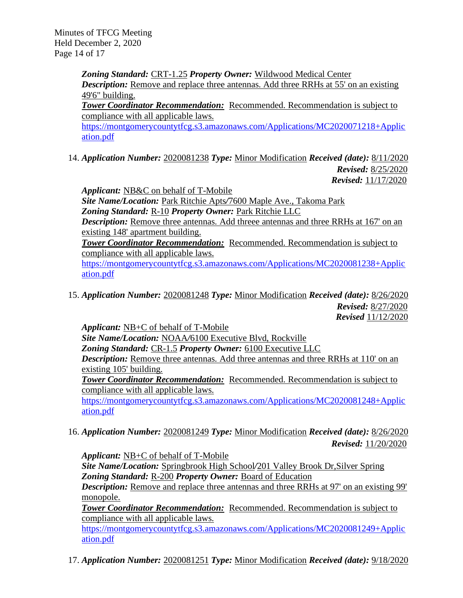Minutes of TFCG Meeting Held December 2, 2020 Page 14 of 17

> *Zoning Standard:* CRT-1.25 *Property Owner:* Wildwood Medical Center *Description:* Remove and replace three antennas. Add three RRHs at 55' on an existing 49'6" building. *Tower Coordinator Recommendation:* Recommended. Recommendation is subject to compliance with all applicable laws.

[https://montgomerycountytfcg.s3.amazonaws.com/Applications/MC2020071218+Applic](https://montgomerycountytfcg.s3.amazonaws.com/Applications/MC2020071218+Application.pdf) [ation.pdf](https://montgomerycountytfcg.s3.amazonaws.com/Applications/MC2020071218+Application.pdf)

14. *Application Number:* 2020081238 *Type:* Minor Modification *Received (date):* 8/11/2020 *Revised:* 8/25/2020  *Revised:* 11/17/2020

*Applicant:* NB&C on behalf of T-Mobile

*Site Name/Location:* Park Ritchie Apts*/*7600 Maple Ave., Takoma Park *Zoning Standard:* R-10 *Property Owner:* Park Ritchie LLC *Description:* Remove three antennas. Add threee antennas and three RRHs at 167' on an existing 148' apartment building. **Tower Coordinator Recommendation:** Recommended. Recommendation is subject to compliance with all applicable laws.

[https://montgomerycountytfcg.s3.amazonaws.com/Applications/MC2020081238+Applic](https://montgomerycountytfcg.s3.amazonaws.com/Applications/MC2020081238+Application.pdf) [ation.pdf](https://montgomerycountytfcg.s3.amazonaws.com/Applications/MC2020081238+Application.pdf)

15. *Application Number:* 2020081248 *Type:* Minor Modification *Received (date):* 8/26/2020 *Revised:* 8/27/2020

 *Revised* 11/12/2020

*Applicant:* NB+C of behalf of T-Mobile *Site Name/Location:* NOAA*/*6100 Executive Blvd, Rockville *Zoning Standard:* CR-1.5 *Property Owner:* 6100 Executive LLC *Description:* Remove three antennas. Add three antennas and three RRHs at 110' on an existing 105' building. *Tower Coordinator Recommendation:* Recommended. Recommendation is subject to compliance with all applicable laws. [https://montgomerycountytfcg.s3.amazonaws.com/Applications/MC2020081248+Applic](https://montgomerycountytfcg.s3.amazonaws.com/Applications/MC2020081248+Application.pdf) [ation.pdf](https://montgomerycountytfcg.s3.amazonaws.com/Applications/MC2020081248+Application.pdf)

16. *Application Number:* 2020081249 *Type:* Minor Modification *Received (date):* 8/26/2020  *Revised:* 11/20/2020

*Applicant:* NB+C of behalf of T-Mobile

*Site Name/Location:* Springbrook High School*/*201 Valley Brook Dr,Silver Spring *Zoning Standard:* R-200 *Property Owner:* Board of Education

*Description:* Remove and replace three antennas and three RRHs at 97' on an existing 99' monopole.

*Tower Coordinator Recommendation:* Recommended. Recommendation is subject to compliance with all applicable laws.

[https://montgomerycountytfcg.s3.amazonaws.com/Applications/MC2020081249+Applic](https://montgomerycountytfcg.s3.amazonaws.com/Applications/MC2020081249+Application.pdf) [ation.pdf](https://montgomerycountytfcg.s3.amazonaws.com/Applications/MC2020081249+Application.pdf)

17. *Application Number:* 2020081251 *Type:* Minor Modification *Received (date):* 9/18/2020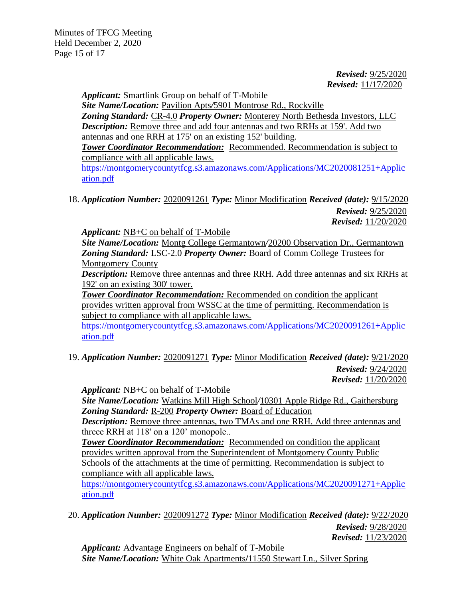*Revised:* 9/25/2020  *Revised:* 11/17/2020

*Applicant:* Smartlink Group on behalf of T-Mobile

*Site Name/Location:* Pavilion Apts*/*5901 Montrose Rd., Rockville *Zoning Standard:* CR-4.0 *Property Owner:* Monterey North Bethesda Investors, LLC *Description:* Remove three and add four antennas and two RRHs at 159'. Add two antennas and one RRH at 175' on an existing 152' building.

*Tower Coordinator Recommendation:* Recommended. Recommendation is subject to compliance with all applicable laws.

[https://montgomerycountytfcg.s3.amazonaws.com/Applications/MC2020081251+Applic](https://montgomerycountytfcg.s3.amazonaws.com/Applications/MC2020081251+Application.pdf) [ation.pdf](https://montgomerycountytfcg.s3.amazonaws.com/Applications/MC2020081251+Application.pdf)

18. *Application Number:* 2020091261 *Type:* Minor Modification *Received (date):* 9/15/2020  *Revised:* 9/25/2020  *Revised:* 11/20/2020

*Applicant:* NB+C on behalf of T-Mobile

*Site Name/Location:* Montg College Germantown*/*20200 Observation Dr., Germantown *Zoning Standard:* LSC-2.0 *Property Owner:* Board of Comm College Trustees for Montgomery County

*Description:* Remove three antennas and three RRH. Add three antennas and six RRHs at 192' on an existing 300' tower.

*Tower Coordinator Recommendation:* Recommended on condition the applicant provides written approval from WSSC at the time of permitting. Recommendation is subject to compliance with all applicable laws.

[https://montgomerycountytfcg.s3.amazonaws.com/Applications/MC2020091261+Applic](https://montgomerycountytfcg.s3.amazonaws.com/Applications/MC2020091261+Application.pdf) [ation.pdf](https://montgomerycountytfcg.s3.amazonaws.com/Applications/MC2020091261+Application.pdf)

19. *Application Number:* 2020091271 *Type:* Minor Modification *Received (date):* 9/21/2020  *Revised:* 9/24/2020  *Revised:* 11/20/2020

*Applicant:* NB+C on behalf of T-Mobile

*Site Name/Location:* Watkins Mill High School*/*10301 Apple Ridge Rd., Gaithersburg *Zoning Standard:* R-200 *Property Owner:* Board of Education

*Description:* Remove three antennas, two TMAs and one RRH. Add three antennas and threee RRH at 118' on a 120' monopole..

**Tower Coordinator Recommendation:** Recommended on condition the applicant provides written approval from the Superintendent of Montgomery County Public Schools of the attachments at the time of permitting. Recommendation is subject to compliance with all applicable laws.

[https://montgomerycountytfcg.s3.amazonaws.com/Applications/MC2020091271+Applic](https://montgomerycountytfcg.s3.amazonaws.com/Applications/MC2020091271+Application.pdf) [ation.pdf](https://montgomerycountytfcg.s3.amazonaws.com/Applications/MC2020091271+Application.pdf)

20. *Application Number:* 2020091272 *Type:* Minor Modification *Received (date):* 9/22/2020  *Revised:* 9/28/2020  *Revised:* 11/23/2020

*Applicant:* Advantage Engineers on behalf of T-Mobile *Site Name/Location:* White Oak Apartments**/**11550 Stewart Ln., Silver Spring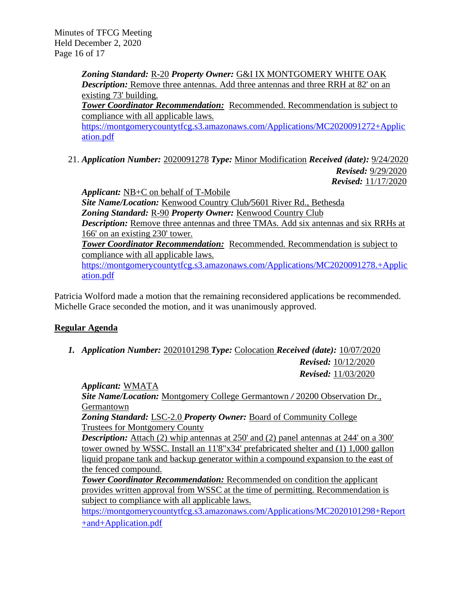Minutes of TFCG Meeting Held December 2, 2020 Page 16 of 17

> *Zoning Standard:* R-20 *Property Owner:* G&I IX MONTGOMERY WHITE OAK *Description:* Remove three antennas. Add three antennas and three RRH at 82' on an existing 73' building. *Tower Coordinator Recommendation:* Recommended. Recommendation is subject to compliance with all applicable laws. [https://montgomerycountytfcg.s3.amazonaws.com/Applications/MC2020091272+Applic](https://montgomerycountytfcg.s3.amazonaws.com/Applications/MC2020091272+Application.pdf) [ation.pdf](https://montgomerycountytfcg.s3.amazonaws.com/Applications/MC2020091272+Application.pdf)

21. *Application Number:* 2020091278 *Type:* Minor Modification *Received (date):* 9/24/2020  *Revised:* 9/29/2020  *Revised:* 11/17/2020

*Applicant:* NB+C on behalf of T-Mobile *Site Name/Location:* Kenwood Country Club*/*5601 River Rd., Bethesda *Zoning Standard:* R-90 *Property Owner:* Kenwood Country Club *Description:* Remove three antennas and three TMAs. Add six antennas and six RRHs at 166' on an existing 230' tower. *Tower Coordinator Recommendation:* Recommended. Recommendation is subject to compliance with all applicable laws. [https://montgomerycountytfcg.s3.amazonaws.com/Applications/MC2020091278.+Applic](https://montgomerycountytfcg.s3.amazonaws.com/Applications/MC2020091278.+Application.pdf) [ation.pdf](https://montgomerycountytfcg.s3.amazonaws.com/Applications/MC2020091278.+Application.pdf)

Patricia Wolford made a motion that the remaining reconsidered applications be recommended. Michelle Grace seconded the motion, and it was unanimously approved.

# **Regular Agenda**

*1. Application Number:* 2020101298 *Type:* Colocation *Received (date):* 10/07/2020 *Revised:* 10/12/2020 *Revised:* 11/03/2020

*Applicant:* WMATA *Site Name/Location:* Montgomery College Germantown */* 20200 Observation Dr., **Germantown** 

*Zoning Standard:* LSC-2.0 *Property Owner:* Board of Community College Trustees for Montgomery County

*Description:* Attach (2) whip antennas at 250' and (2) panel antennas at 244' on a 300' tower owned by WSSC. Install an 11'8"x34' prefabricated shelter and (1) 1,000 gallon liquid propane tank and backup generator within a compound expansion to the east of the fenced compound.

*Tower Coordinator Recommendation:* Recommended on condition the applicant provides written approval from WSSC at the time of permitting. Recommendation is subject to compliance with all applicable laws.

[https://montgomerycountytfcg.s3.amazonaws.com/Applications/MC2020101298+Report](https://montgomerycountytfcg.s3.amazonaws.com/Applications/MC2020101298+Report+and+Application.pdf) [+and+Application.pdf](https://montgomerycountytfcg.s3.amazonaws.com/Applications/MC2020101298+Report+and+Application.pdf)